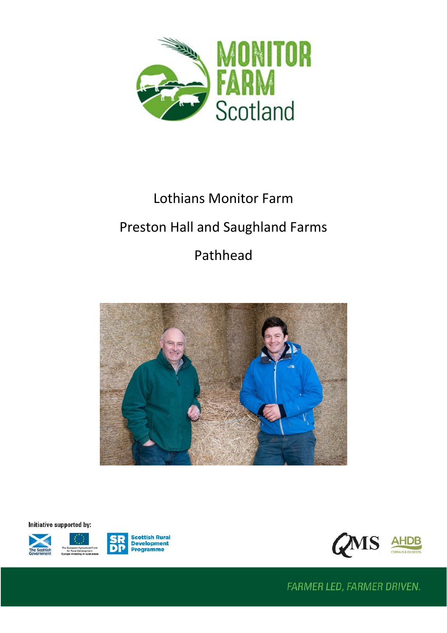

# Lothians Monitor Farm

# Preston Hall and Saughland Farms

# Pathhead



Initiative supported by:







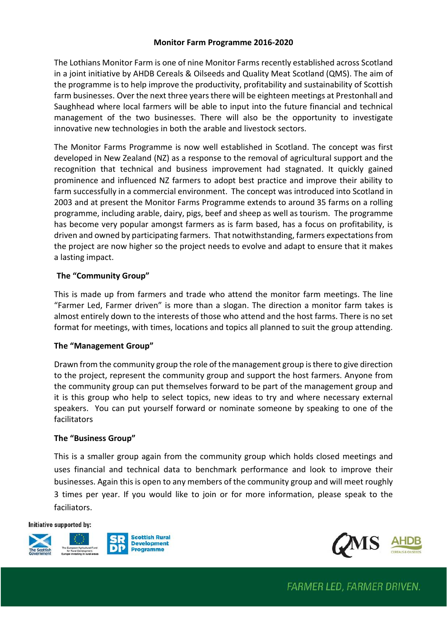#### **Monitor Farm Programme 2016-2020**

The Lothians Monitor Farm is one of nine Monitor Farms recently established across Scotland in a joint initiative by AHDB Cereals & Oilseeds and Quality Meat Scotland (QMS). The aim of the programme is to help improve the productivity, profitability and sustainability of Scottish farm businesses. Over the next three years there will be eighteen meetings at Prestonhall and Saughhead where local farmers will be able to input into the future financial and technical management of the two businesses. There will also be the opportunity to investigate innovative new technologies in both the arable and livestock sectors.

The Monitor Farms Programme is now well established in Scotland. The concept was first developed in New Zealand (NZ) as a response to the removal of agricultural support and the recognition that technical and business improvement had stagnated. It quickly gained prominence and influenced NZ farmers to adopt best practice and improve their ability to farm successfully in a commercial environment. The concept was introduced into Scotland in 2003 and at present the Monitor Farms Programme extends to around 35 farms on a rolling programme, including arable, dairy, pigs, beef and sheep as well as tourism. The programme has become very popular amongst farmers as is farm based, has a focus on profitability, is driven and owned by participating farmers. That notwithstanding, farmers expectations from the project are now higher so the project needs to evolve and adapt to ensure that it makes a lasting impact.

## **The "Community Group"**

This is made up from farmers and trade who attend the monitor farm meetings. The line "Farmer Led, Farmer driven" is more than a slogan. The direction a monitor farm takes is almost entirely down to the interests of those who attend and the host farms. There is no set format for meetings, with times, locations and topics all planned to suit the group attending.

## **The "Management Group"**

Drawn from the community group the role of the management group is there to give direction to the project, represent the community group and support the host farmers. Anyone from the community group can put themselves forward to be part of the management group and it is this group who help to select topics, new ideas to try and where necessary external speakers. You can put yourself forward or nominate someone by speaking to one of the facilitators

#### **The "Business Group"**

This is a smaller group again from the community group which holds closed meetings and uses financial and technical data to benchmark performance and look to improve their businesses. Again this is open to any members of the community group and will meet roughly 3 times per year. If you would like to join or for more information, please speak to the faciliators.

#### Initiative supported by:





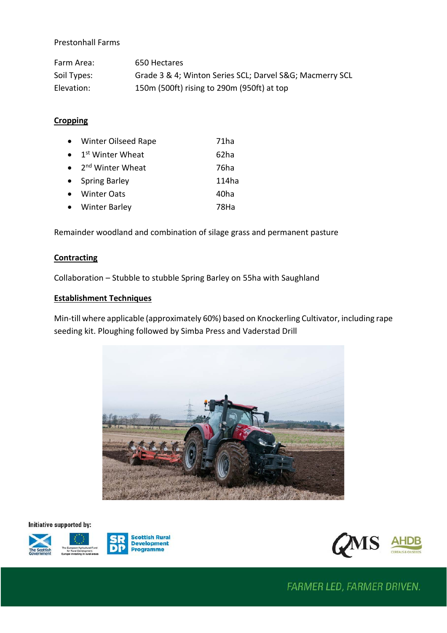#### Prestonhall Farms

| Farm Area:  | 650 Hectares                                            |
|-------------|---------------------------------------------------------|
| Soil Types: | Grade 3 & 4; Winton Series SCL; Darvel S&G Macmerry SCL |
| Elevation:  | 150m (500ft) rising to 290m (950ft) at top              |

#### **Cropping**

| • Winter Oilseed Rape                  | 71 <sub>ha</sub> |
|----------------------------------------|------------------|
| $\bullet$ 1 <sup>st</sup> Winter Wheat | 62ha             |
| $\bullet$ 2 <sup>nd</sup> Winter Wheat | 76ha             |
| • Spring Barley                        | 114ha            |
| • Winter Oats                          | 40ha             |
| • Winter Barley                        | 78Ha             |

Remainder woodland and combination of silage grass and permanent pasture

#### **Contracting**

Collaboration – Stubble to stubble Spring Barley on 55ha with Saughland

#### **Establishment Techniques**

Min-till where applicable (approximately 60%) based on Knockerling Cultivator, including rape seeding kit. Ploughing followed by Simba Press and Vaderstad Drill



Initiative supported by:





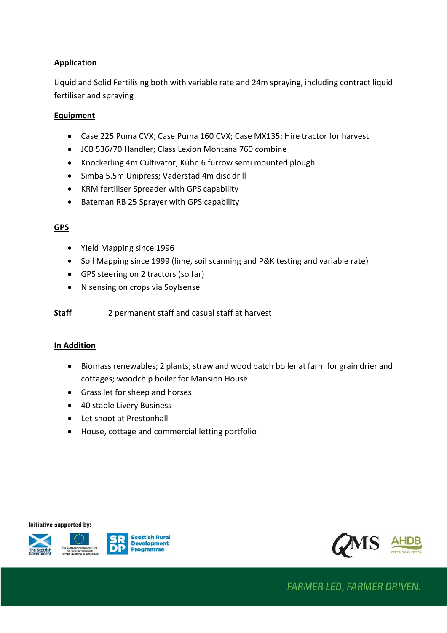# **Application**

Liquid and Solid Fertilising both with variable rate and 24m spraying, including contract liquid fertiliser and spraying

#### **Equipment**

- Case 225 Puma CVX; Case Puma 160 CVX; Case MX135; Hire tractor for harvest
- JCB 536/70 Handler; Class Lexion Montana 760 combine
- Knockerling 4m Cultivator; Kuhn 6 furrow semi mounted plough
- Simba 5.5m Unipress; Vaderstad 4m disc drill
- KRM fertiliser Spreader with GPS capability
- Bateman RB 25 Sprayer with GPS capability

# **GPS**

- Yield Mapping since 1996
- Soil Mapping since 1999 (lime, soil scanning and P&K testing and variable rate)
- GPS steering on 2 tractors (so far)
- N sensing on crops via Soylsense

**Staff** 2 permanent staff and casual staff at harvest

## **In Addition**

- Biomass renewables; 2 plants; straw and wood batch boiler at farm for grain drier and cottages; woodchip boiler for Mansion House
- Grass let for sheep and horses
- 40 stable Livery Business
- Let shoot at Prestonhall
- House, cottage and commercial letting portfolio

Initiative supported by:





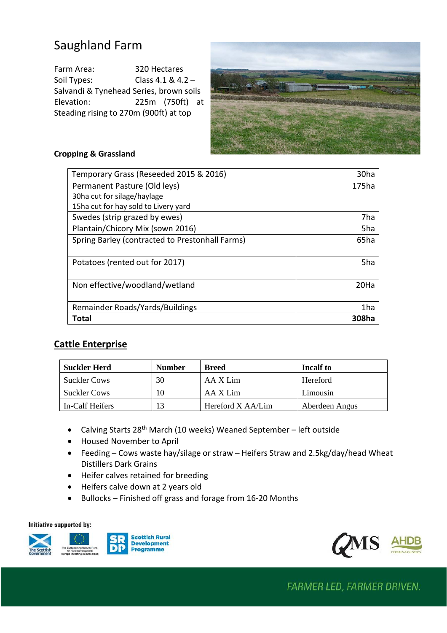# Saughland Farm

Farm Area: 320 Hectares Soil Types: Class 4.1 & 4.2 – Salvandi & Tynehead Series, brown soils Elevation: 225m (750ft) at Steading rising to 270m (900ft) at top



# **Cropping & Grassland**

| Temporary Grass (Reseeded 2015 & 2016)          | 30ha             |
|-------------------------------------------------|------------------|
| Permanent Pasture (Old leys)                    | 175ha            |
| 30ha cut for silage/haylage                     |                  |
| 15ha cut for hay sold to Livery yard            |                  |
| Swedes (strip grazed by ewes)                   | 7ha              |
| Plantain/Chicory Mix (sown 2016)                | 5ha              |
| Spring Barley (contracted to Prestonhall Farms) | 65ha             |
|                                                 |                  |
| Potatoes (rented out for 2017)                  | 5ha              |
|                                                 |                  |
| Non effective/woodland/wetland                  | 20 <sub>Ha</sub> |
|                                                 |                  |
| Remainder Roads/Yards/Buildings                 | 1ha              |
| Total                                           | 308ha            |

# **Cattle Enterprise**

| <b>Suckler Herd</b> | <b>Number</b> | <b>Breed</b>      | Incalf to      |
|---------------------|---------------|-------------------|----------------|
| <b>Suckler Cows</b> | 30            | AA X Lim          | Hereford       |
| <b>Suckler Cows</b> | 10            | AA X Lim          | Limousin       |
| In-Calf Heifers     | 13            | Hereford X AA/Lim | Aberdeen Angus |

- Calving Starts 28<sup>th</sup> March (10 weeks) Weaned September left outside
- Housed November to April
- Feeding Cows waste hay/silage or straw Heifers Straw and 2.5kg/day/head Wheat Distillers Dark Grains
- Heifer calves retained for breeding
- Heifers calve down at 2 years old
- Bullocks Finished off grass and forage from 16-20 Months

Initiative supported by:



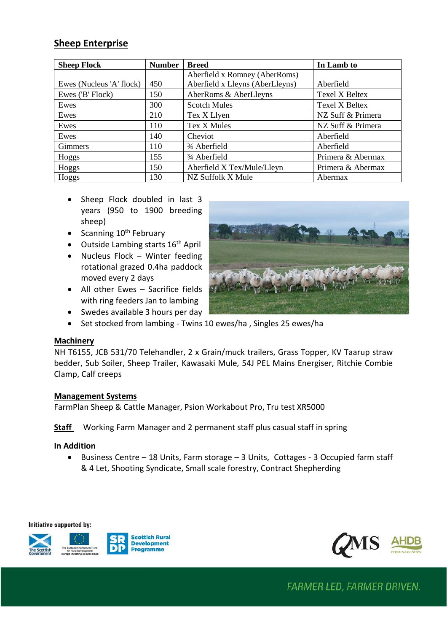# **Sheep Enterprise**

| <b>Sheep Flock</b>       | <b>Number</b> | <b>Breed</b>                          | In Lamb to            |
|--------------------------|---------------|---------------------------------------|-----------------------|
|                          |               | Aberfield x Romney (AberRoms)         |                       |
| Ewes (Nucleus 'A' flock) | 450           | Aberfield x Lleyns (AberLleyns)       | Aberfield             |
| Ewes ('B' Flock)         | 150           | AberRoms & AberLleyns                 | <b>Texel X Beltex</b> |
| Ewes                     | 300           | <b>Scotch Mules</b>                   | <b>Texel X Beltex</b> |
| Ewes                     | 210           | Tex X Llyen                           | NZ Suff & Primera     |
| Ewes                     | 110           | Tex X Mules                           | NZ Suff & Primera     |
| Ewes                     | 140           | Cheviot                               | Aberfield             |
| Gimmers                  | 110           | <sup>3</sup> / <sub>4</sub> Aberfield | Aberfield             |
| Hoggs                    | 155           | <sup>3</sup> / <sub>4</sub> Aberfield | Primera & Abermax     |
| Hoggs                    | 150           | Aberfield X Tex/Mule/Lleyn            | Primera & Abermax     |
| Hoggs                    | 130           | NZ Suffolk X Mule                     | Abermax               |

- Sheep Flock doubled in last 3 years (950 to 1900 breeding sheep)
- Scanning  $10^{th}$  February
- Outside Lambing starts  $16<sup>th</sup>$  April
- Nucleus Flock Winter feeding rotational grazed 0.4ha paddock moved every 2 days
- All other Ewes Sacrifice fields with ring feeders Jan to lambing



- Swedes available 3 hours per day
- Set stocked from lambing Twins 10 ewes/ha , Singles 25 ewes/ha

#### **Machinery**

NH T6155, JCB 531/70 Telehandler, 2 x Grain/muck trailers, Grass Topper, KV Taarup straw bedder, Sub Soiler, Sheep Trailer, Kawasaki Mule, 54J PEL Mains Energiser, Ritchie Combie Clamp, Calf creeps

#### **Management Systems**

FarmPlan Sheep & Cattle Manager, Psion Workabout Pro, Tru test XR5000

**Staff** Working Farm Manager and 2 permanent staff plus casual staff in spring

#### **In Addition**

• Business Centre – 18 Units, Farm storage – 3 Units, Cottages - 3 Occupied farm staff & 4 Let, Shooting Syndicate, Small scale forestry, Contract Shepherding

Initiative supported by: